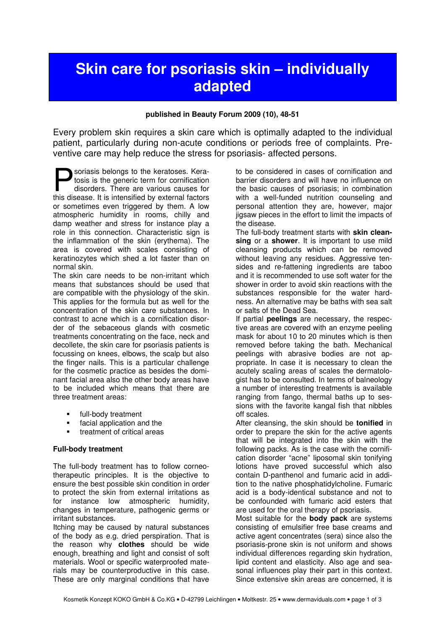# Skin care for psoriasis skin – individually adapted

## published in Beauty Forum 2009 (10), 48-51

Every problem skin requires a skin care which is optimally adapted to the individual patient, particularly during non-acute conditions or periods free of complaints. Preventive care may help reduce the stress for psoriasis- affected persons.

soriasis belongs to the keratoses. Keratosis is the generic term for cornification disorders. There are various causes for soriasis belongs to the keratoses. Keratosis is the generic term for cornification disorders. There are various causes for this disease. It is intensified by external factors or sometimes even triggered by them. A low atmospheric humidity in rooms, chilly and damp weather and stress for instance play a role in this connection. Characteristic sign is the inflammation of the skin (erythema). The area is covered with scales consisting of keratinozytes which shed a lot faster than on normal skin.

The skin care needs to be non-irritant which means that substances should be used that are compatible with the physiology of the skin. This applies for the formula but as well for the concentration of the skin care substances. In contrast to acne which is a cornification disorder of the sebaceous glands with cosmetic treatments concentrating on the face, neck and decollete, the skin care for psoriasis patients is focussing on knees, elbows, the scalp but also the finger nails. This is a particular challenge for the cosmetic practice as besides the dominant facial area also the other body areas have to be included which means that there are three treatment areas:

- full-body treatment
- facial application and the
- treatment of critical areas

## Full-body treatment

The full-body treatment has to follow corneotherapeutic principles. It is the objective to ensure the best possible skin condition in order to protect the skin from external irritations as for instance low atmospheric humidity, changes in temperature, pathogenic germs or irritant substances.

Itching may be caused by natural substances of the body as e.g. dried perspiration. That is the reason why **clothes** should be wide enough, breathing and light and consist of soft materials. Wool or specific waterproofed materials may be counterproductive in this case. These are only marginal conditions that have

to be considered in cases of cornification and barrier disorders and will have no influence on the basic causes of psoriasis; in combination with a well-funded nutrition counseling and personal attention they are, however, major jigsaw pieces in the effort to limit the impacts of the disease.

The full-body treatment starts with skin cleansing or a shower. It is important to use mild cleansing products which can be removed without leaving any residues. Aggressive tensides and re-fattening ingredients are taboo and it is recommended to use soft water for the shower in order to avoid skin reactions with the substances responsible for the water hardness. An alternative may be baths with sea salt or salts of the Dead Sea.

If partial **peelings** are necessary, the respective areas are covered with an enzyme peeling mask for about 10 to 20 minutes which is then removed before taking the bath. Mechanical peelings with abrasive bodies are not appropriate. In case it is necessary to clean the acutely scaling areas of scales the dermatologist has to be consulted. In terms of balneology a number of interesting treatments is available ranging from fango, thermal baths up to sessions with the favorite kangal fish that nibbles off scales.

After cleansing, the skin should be **tonified** in order to prepare the skin for the active agents that will be integrated into the skin with the following packs. As is the case with the cornification disorder "acne" liposomal skin tonifying lotions have proved successful which also contain D-panthenol and fumaric acid in addition to the native phosphatidylcholine. Fumaric acid is a body-identical substance and not to be confounded with fumaric acid esters that are used for the oral therapy of psoriasis.

Most suitable for the **body pack** are systems consisting of emulsifier free base creams and active agent concentrates (sera) since also the psoriasis-prone skin is not uniform and shows individual differences regarding skin hydration, lipid content and elasticity. Also age and seasonal influences play their part in this context. Since extensive skin areas are concerned, it is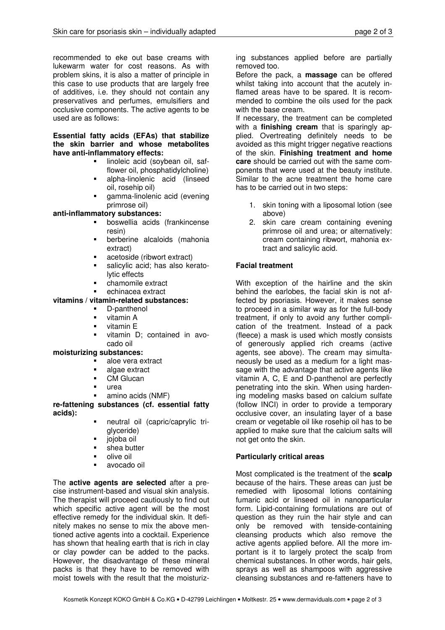recommended to eke out base creams with lukewarm water for cost reasons. As with problem skins, it is also a matter of principle in this case to use products that are largely free of additives, i.e. they should not contain any preservatives and perfumes, emulsifiers and occlusive components. The active agents to be used are as follows:

#### Essential fatty acids (EFAs) that stabilize the skin barrier and whose metabolites have anti-inflammatory effects:

- **Imoleic acid (soybean oil, saf**flower oil, phosphatidylcholine)
- alpha-linolenic acid (linseed oil, rosehip oil)
- gamma-linolenic acid (evening primrose oil)

## anti-inflammatory substances:

- boswellia acids (frankincense resin)
- berberine alcaloids (mahonia extract)
- acetoside (ribwort extract)
- salicylic acid; has also keratolytic effects
- chamomile extract
- echinacea extract

## vitamins / vitamin-related substances:

- D-panthenol
- vitamin A
- vitamin E
- vitamin D; contained in avocado oil

#### moisturizing substances:

- aloe vera extract
- algae extract
- CM Glucan
- urea
- amino acids (NMF)

## re-fattening substances (cf. essential fatty acids):

- neutral oil (capric/caprylic triglyceride)
- jojoba oil
- shea butter
- olive oil
- avocado oil

The **active agents are selected** after a precise instrument-based and visual skin analysis. The therapist will proceed cautiously to find out which specific active agent will be the most effective remedy for the individual skin. It definitely makes no sense to mix the above mentioned active agents into a cocktail. Experience has shown that healing earth that is rich in clay or clay powder can be added to the packs. However, the disadvantage of these mineral packs is that they have to be removed with moist towels with the result that the moisturizing substances applied before are partially removed too.

Before the pack, a massage can be offered whilst taking into account that the acutely inflamed areas have to be spared. It is recommended to combine the oils used for the pack with the base cream.

If necessary, the treatment can be completed with a finishing cream that is sparingly applied. Overtreating definitely needs to be avoided as this might trigger negative reactions of the skin. Finishing treatment and home care should be carried out with the same components that were used at the beauty institute. Similar to the acne treatment the home care has to be carried out in two steps:

- 1. skin toning with a liposomal lotion (see above)
- 2. skin care cream containing evening primrose oil and urea; or alternatively: cream containing ribwort, mahonia extract and salicylic acid.

# Facial treatment

With exception of the hairline and the skin behind the earlobes, the facial skin is not affected by psoriasis. However, it makes sense to proceed in a similar way as for the full-body treatment, if only to avoid any further complication of the treatment. Instead of a pack (fleece) a mask is used which mostly consists of generously applied rich creams (active agents, see above). The cream may simultaneously be used as a medium for a light massage with the advantage that active agents like vitamin A, C, E and D-panthenol are perfectly penetrating into the skin. When using hardening modeling masks based on calcium sulfate (follow INCI) in order to provide a temporary occlusive cover, an insulating layer of a base cream or vegetable oil like rosehip oil has to be applied to make sure that the calcium salts will not get onto the skin.

## Particularly critical areas

Most complicated is the treatment of the scalp because of the hairs. These areas can just be remedied with liposomal lotions containing fumaric acid or linseed oil in nanoparticular form. Lipid-containing formulations are out of question as they ruin the hair style and can only be removed with tenside-containing cleansing products which also remove the active agents applied before. All the more important is it to largely protect the scalp from chemical substances. In other words, hair gels, sprays as well as shampoos with aggressive cleansing substances and re-fatteners have to